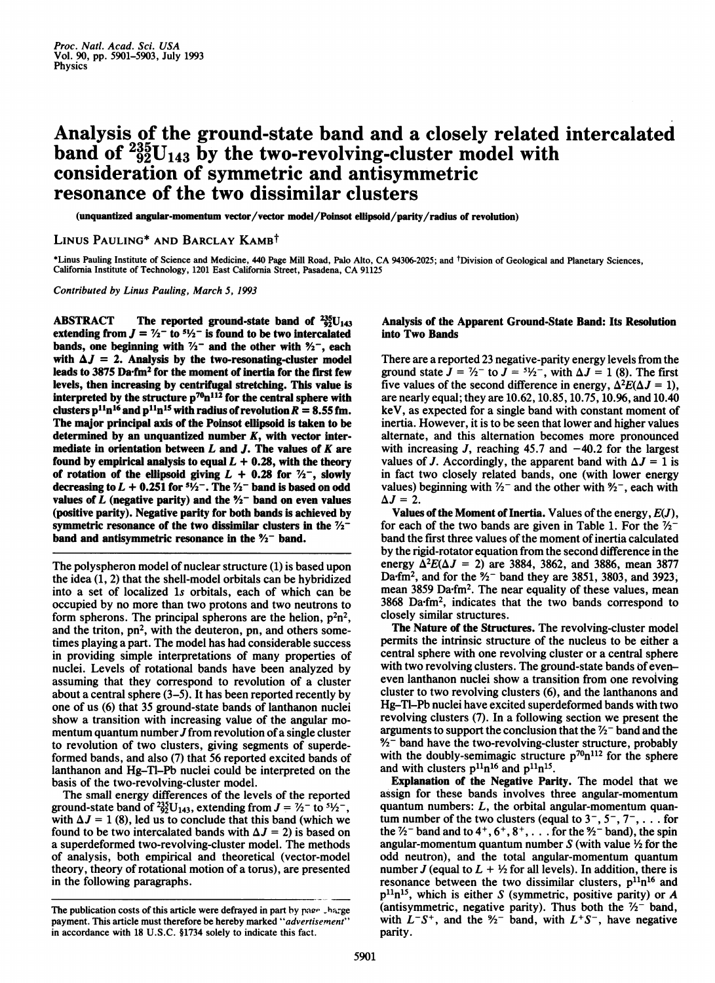# Analysis of the ground-state band and a closely related intercalated band of  $^{235}_{92}U_{143}$  by the two-revolving-cluster model with consideration of symmetric and antisymmetric resonance of the two dissimilar clusters

(unquantized angular-momentum vector/vector model/Poinsot eflipsoid/parity/radius of revolution)

# LINUS PAULING<sup>\*</sup> AND BARCLAY KAMB<sup>†</sup>

\*Linus Pauling Institute of Science and Medicine, <sup>440</sup> Page Mill Road, Palo Alto, CA 94306-2025; and tDivision of Geological and Planetary Sciences, California Institute of Technology, <sup>1201</sup> East California Street, Pasadena, CA <sup>91125</sup>

Contributed by Linus Pauling, March 5, 1993

ABSTRACT The reported ground-state band of  $^{235}_{92}U_{143}$ extending from  $J = \frac{\gamma_2 - 1}{2}$  to  $\frac{5\gamma_2 - 1}{2}$  is found to be two intercalated bands, one beginning with  $\frac{7}{2}$  and the other with  $\frac{9}{2}$ , each with  $\Delta J = 2$ . Analysis by the two-resonating-cluster model leads to 3875 Da.fm<sup>2</sup> for the moment of inertia for the first few levels, then increasing by centrifugal stretching. This value is interpreted by the structure  $p^{70}n^{112}$  for the central sphere with clusters  $p^{11}n^{16}$  and  $p^{11}n^{15}$  with radius of revolution  $R = 8.55$  fm. The major principal axis of the Poinsot ellipsoid is taken to be determined by an unquantized number  $K$ , with vector intermediate in orientation between  $L$  and  $J$ . The values of  $K$  are found by empirical analysis to equal  $L + 0.28$ , with the theory of rotation of the ellipsoid giving  $L + 0.28$  for  $\frac{7}{2}$ , slowly decreasing to  $L + 0.251$  for  $5\frac{1}{2}$ . The  $\frac{7}{2}$  band is based on odd values of L (negative parity) and the  $\frac{1}{2}$  band on even values (positive parity). Negative parity for both bands is achieved by symmetric resonance of the two dissimilar clusters in the  $\frac{7}{2}$ band and antisymmetric resonance in the  $\frac{1}{2}$ - band.

The polyspheron model of nuclear structure (1) is based upon the idea (1, 2) that the shell-model orbitals can be hybridized into a set of localized ls orbitals, each of which can be occupied by no more than two protons and two neutrons to form spherons. The principal spherons are the helion,  $p^2n^2$ , and the triton,  $pn^2$ , with the deuteron, pn, and others sometimes playing a part. The model has had considerable success in providing simple interpretations of many properties of nuclei. Levels of rotational bands have been analyzed by assuming that they correspond to revolution of a cluster about a central sphere (3-5). It has been reported recently by one of us (6) that 35 ground-state bands of lanthanon nuclei show a transition with increasing value of the angular momentum quantum number  $J$  from revolution of a single cluster to revolution of two clusters, giving segments of superdeformed bands, and also (7) that 56 reported excited bands of lanthanon and Hg-Tl-Pb nuclei could be interpreted on the basis of the two-revolving-cluster model.

The small energy differences of the levels of the reported ground-state band of  $^{235}_{22}U_{143}$ , extending from  $J = \frac{7}{2}$  to  $\frac{51}{2}$ , with  $\Delta J = 1$  (8), led us to conclude that this band (which we found to be two intercalated bands with  $\Delta J = 2$ ) is based on a superdeformed two-revolving-cluster model. The methods of analysis, both empirical and theoretical (vector-model theory, theory of rotational motion of a torus), are presented in the following paragraphs.

## Analysis of the Apparent Ground-State Band: Its Resolution into Two Bands

There are a reported 23 negative-parity energy levels from the ground state  $J = \frac{7}{2}$  to  $J = \frac{51}{2}$ , with  $\Delta J = 1$  (8). The first five values of the second difference in energy,  $\Delta^2 E(\Delta J = 1)$ , are nearly equal; they are 10.62, 10.85, 10.75, 10.96, and 10.40 keV, as expected for a single band with constant moment of inertia. However, it is to be seen that lower and higher values alternate, and this alternation becomes more pronounced with increasing J, reaching  $45.7$  and  $-40.2$  for the largest values of J. Accordingly, the apparent band with  $\Delta J = 1$  is in fact two closely related bands, one (with lower energy values) beginning with  $\frac{1}{2}$  and the other with  $\frac{1}{2}$ , each with  $\Delta J = 2$ .

Values of the Moment of Inertia. Values of the energy,  $E(J)$ , for each of the two bands are given in Table 1. For the  $\frac{7}{2}$ band the first three values of the moment of inertia calculated by the rigid-rotator equation from the second difference in the energy  $\Delta^2 E(\Delta J = 2)$  are 3884, 3862, and 3886, mean 3877 Da $\cdot$ fm<sup>2</sup>, and for the  $\frac{9}{2}$ - band they are 3851, 3803, and 3923, mean 3859 Dafm2. The near equality of these values, mean 3868 Da.fm<sup>2</sup>, indicates that the two bands correspond to closely similar structures.

The Nature of the Structures. The revolving-cluster model permits the intrinsic structure of the nucleus to be either a central sphere with one revolving cluster or a central sphere with two revolving clusters. The ground-state bands of eveneven lanthanon nuclei show a transition from one revolving cluster to two revolving clusters (6), and the lanthanons and Hg-Tl-Pb nuclei have excited superdeformed bands with two revolving clusters (7). In a following section we present the arguments to support the conclusion that the  $\frac{7}{2}$ -band and the  $\frac{9}{2}$  band have the two-revolving-cluster structure, probably with the doubly-semimagic structure  $p^{\tau_0}n^{112}$  for the sphere and with clusters  $p^{11}n^{16}$  and  $p^{11}n^{15}$ .

Explanation of the Negative Parity. The model that we assign for these bands involves three angular-momentum quantum numbers:  $L$ , the orbital angular-momentum quantum number of the two clusters (equal to  $3^-$ ,  $5^-$ ,  $7^-$ , ... for the  $\frac{7}{2}$  band and to 4<sup>+</sup>, 6<sup>+</sup>, 8<sup>+</sup>, ... for the  $\frac{9}{2}$  band), the spin angular-momentum quantum number  $S$  (with value  $\frac{1}{2}$  for the odd neutron), and the total angular-momentum quantum number J (equal to  $L + \frac{1}{2}$  for all levels). In addition, there is resonance between the two dissimilar clusters,  $p^{11}n^{16}$  and  $p^{11}n^{15}$ , which is either S (symmetric, positive parity) or A (antisymmetric, negative parity). Thus both the  $\frac{1}{2}$  band, with  $L^-\mathcal{S}^+$ , and the  $\frac{1}{2}$  band, with  $L^+\mathcal{S}^-$ , have negative parity.

The publication costs of this article were defrayed in part by page thange payment. This article must therefore be hereby marked "advertisement" in accordance with 18 U.S.C. §1734 solely to indicate this fact.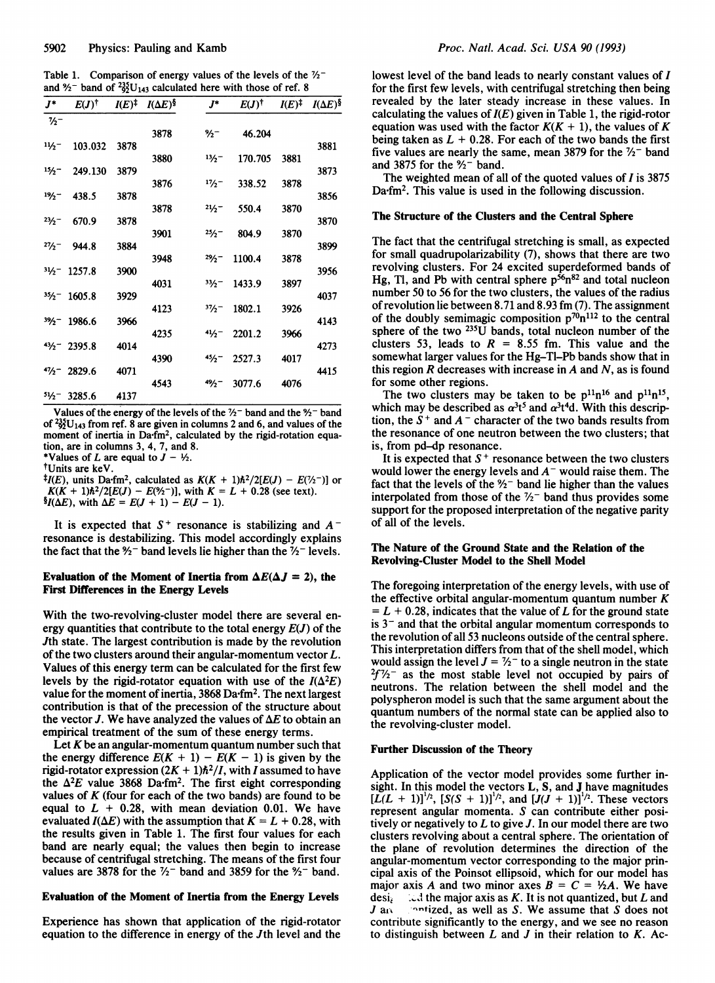Table 1. Comparison of energy values of the levels of the  $\frac{7}{2}$ and  $\frac{9}{2}$ - band of  $\frac{235}{92}$ U<sub>143</sub> calculated here with those of ref. 8

| $J^*$         | $E(J)^{\dagger}$      | $I(E)^{\ddagger}$ | $I(\Delta E)^{\S}$ | $J^*$    | $E(J)^{\dagger}$ | $I(E)^{\ddagger}$ | $I(\Delta E)^{\S}$ |
|---------------|-----------------------|-------------------|--------------------|----------|------------------|-------------------|--------------------|
| $\frac{7}{2}$ |                       |                   |                    |          |                  |                   |                    |
|               |                       |                   | 3878               | %−       | 46.204           |                   |                    |
| 11/2          | 103.032               | 3878              |                    |          |                  |                   | 3881               |
|               |                       |                   | 3880               | 13/2     | 170.705          | 3881              |                    |
| 15/2<br>19/2  | 249.130               | 3879              |                    |          |                  |                   | 3873               |
|               | 438.5                 | 3878              | 3876               | 17/2     | 338.52           | 3878              | 3856               |
|               |                       |                   | 3878               | $21/2-$  | 550.4            | 3870              |                    |
| 23/2          | 670.9                 | 3878              |                    |          |                  |                   | 3870               |
|               |                       |                   | 3901               | 25/2     | 804.9            | 3870              |                    |
| $27/2-$       | 944.8                 | 3884              |                    |          |                  |                   | 3899               |
|               |                       |                   | 3948               | $29/2 -$ | 1100.4           | 3878              |                    |
|               | $31/2 - 1257.8$       | 3900              |                    |          |                  |                   | 3956               |
|               |                       |                   | 4031               | 33/2     | 1433.9           | 3897              |                    |
|               | $35/2 - 1605.8$       | 3929              | 4123               | 37/2     | 1802.1           | 3926              | 4037               |
|               | $3\frac{3}{2}$ 1986.6 | 3966              |                    |          |                  |                   | 4143               |
|               |                       |                   | 4235               | $41/2 -$ | 2201.2           | 3966              |                    |
|               | $43/2 - 2395.8$       | 4014              |                    |          |                  |                   | 4273               |
|               |                       |                   | 4390               | 45/2     | 2527.3           | 4017              |                    |
|               | $4\frac{1}{2}$ 2829.6 | 4071              |                    |          |                  |                   | 4415               |
|               |                       |                   | 4543               | $49/2 -$ | 3077.6           | 4076              |                    |
|               | $5\frac{1}{2}$ 3285.6 | 4137              |                    |          |                  |                   |                    |

Values of the energy of the levels of the  $\frac{1}{2}$ -band and the  $\frac{1}{2}$ -band of  $^{235}_{92}U_{143}$  from ref. 8 are given in columns 2 and 6, and values of the moment of inertia in Da.fm<sup>2</sup>, calculated by the rigid-rotation equation, are in columns 3, 4, 7, and 8.

\*Values of L are equal to  $J - \frac{1}{2}$ .

tUnits are keV.

<sup>‡</sup>*I*(*E*), units Da<sup>-f</sup>m<sup>2</sup>, calculated as  $K(K + 1)\hbar^2/2[E(J) - E(\frac{\gamma}{2})]$  or  $K(K + 1)\hbar^2/2[E(J) - E(\frac{9}{2})]$ , with  $K = L + 0.28$  (see text).  $\frac{\delta I(\Delta E)}{\Delta E}$ , with  $\Delta E = E(J + 1) - E(J - 1)$ .

It is expected that  $S^+$  resonance is stabilizing and  $A^$ resonance is destabilizing. This model accordingly explains the fact that the  $\frac{1}{2}$  band levels lie higher than the  $\frac{1}{2}$  levels.

## Evaluation of the Moment of Inertia from  $\Delta E(\Delta J = 2)$ , the First Differences in the Energy Levels

With the two-revolving-cluster model there are several energy quantities that contribute to the total energy  $E(J)$  of the Jth state. The largest contribution is made by the revolution of the two clusters around their angular-momentum vector L. Values of this energy term can be calculated for the first few levels by the rigid-rotator equation with use of the  $I(\Delta^2 E)$ value for the moment of inertia,  $3868 \text{ Da-fm}^2$ . The next largest contribution is that of the precession of the structure about the vector J. We have analyzed the values of  $\Delta E$  to obtain an empirical treatment of the sum of these energy terms.

Let  $K$  be an angular-momentum quantum number such that the energy difference  $E(K + 1) - E(K - 1)$  is given by the rigid-rotator expression  $(2K + 1)\hbar^2/I$ , with I assumed to have the  $\Delta^2 E$  value 3868 Da·fm<sup>2</sup>. The first eight corresponding values of  $K$  (four for each of the two bands) are found to be equal to  $L + 0.28$ , with mean deviation 0.01. We have evaluated  $I(\Delta E)$  with the assumption that  $K = L + 0.28$ , with the results given in Table 1. The first four values for each band are nearly equal; the values then begin to increase because of centrifugal stretching. The means of the first four values are 3878 for the  $\frac{7}{2}$  band and 3859 for the  $\frac{9}{2}$  band.

# Evaluation of the Moment of Inertia from the Energy Levels

Experience has shown that application of the rigid-rotator equation to the difference in energy of the Jth level and the lowest level of the band leads to nearly constant values of I for the first few levels, with centrifugal stretching then being revealed by the later steady increase in these values. In calculating the values of  $I(E)$  given in Table 1, the rigid-rotor equation was used with the factor  $K(K + 1)$ , the values of K being taken as  $L + 0.28$ . For each of the two bands the first five values are nearly the same, mean 3879 for the  $\frac{7}{2}$  band and 3875 for the  $\frac{9}{2}$  band.

The weighted mean of all of the quoted values of  $I$  is 3875 Da.fm<sup>2</sup>. This value is used in the following discussion.

#### The Structure of the Clusters and the Central Sphere

The fact that the centrifugal stretching is small, as expected for small quadrupolarizability (7), shows that there are two revolving clusters. For 24 excited superdeformed bands of Hg, Tl, and Pb with central sphere  $p^{56}n^{82}$  and total nucleon number 50 to 56 for the two clusters, the values of the radius of revolution lie between 8.71 and 8.93 fm (7). The assignment of the doubly semimagic composition  $p^{70}n^{112}$  to the central sphere of the two 235U bands, total nucleon number of the clusters 53, leads to  $R = 8.55$  fm. This value and the somewhat larger values for the Hg-Tl-Pb bands show that in this region  $R$  decreases with increase in  $A$  and  $N$ , as is found for some other regions.

The two clusters may be taken to be  $p^{11}n^{16}$  and  $p^{11}n^{15}$ , which may be described as  $\alpha^{3}t^{5}$  and  $\alpha^{3}t^{4}d$ . With this description, the  $S<sup>+</sup>$  and  $A<sup>-</sup>$  character of the two bands results from the resonance of one neutron between the two clusters; that is, from pd-dp resonance.

It is expected that  $S^+$  resonance between the two clusters would lower the energy levels and  $A^-$  would raise them. The fact that the levels of the  $\frac{9}{2}$  band lie higher than the values interpolated from those of the  $\frac{7}{2}$  band thus provides some support for the proposed interpretation of the negative parity of all of the levels.

## The Nature of the Ground State and the Relation of the Revolving-Cluster Model to the Shell Model

The foregoing interpretation of the energy levels, with use of the effective orbital angular-momentum quantum number  $K$  $= L + 0.28$ , indicates that the value of L for the ground state is  $3<sup>-</sup>$  and that the orbital angular momentum corresponds to the revolution of all 53 nucleons outside of the central sphere. This interpretation differs from that of the shell model, which would assign the level  $J = \frac{1}{2}$  to a single neutron in the state  $2f\frac{7}{2}$  as the most stable level not occupied by pairs of neutrons. The relation between the shell model and the polyspheron model is such that the same argument about the quantum numbers of the normal state can be applied also to the revolving-cluster model.

#### Further Discussion of the Theory

Application of the vector model provides some further insight. In this model the vectors L, S, and J have magnitudes  $[L(L + 1)]^{1/2}$ ,  $[S(S + 1)]^{1/2}$ , and  $[J(J + 1)]^{1/2}$ . These vectors represent angular momenta. S can contribute either positively or negatively to  $L$  to give  $J$ . In our model there are two clusters revolving about a central sphere. The orientation of the plane of revolution determines the direction of the angular-momentum vector corresponding to the major principal axis of the Poinsot ellipsoid, which for our model has major axis A and two minor axes  $B = C = \frac{1}{2}A$ . We have desi<sub>i</sub> : i.d the major axis as K. It is not quantized, but L and  $J$  and  $\blacksquare$  -intized, as well as S. We assume that S does not contribute significantly to the energy, and we see no reason to distinguish between  $L$  and  $J$  in their relation to  $K$ . Ac